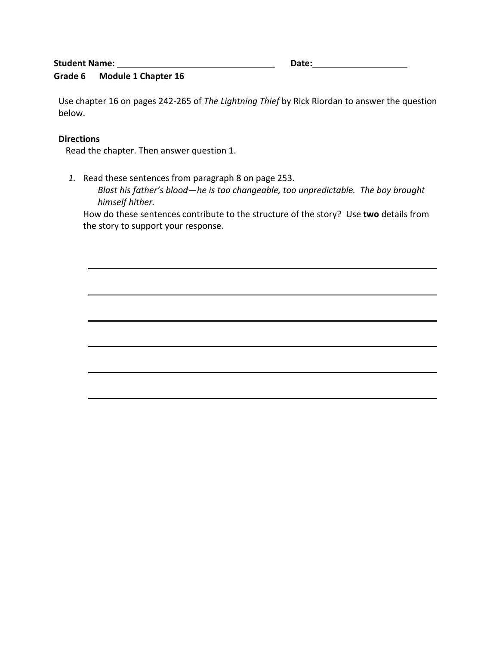# **Student Name:** Date: Date: Date: Date: Date: Date: Date: Date: Date: Date: Date: Date: Date: Date: Date: Date: Date: Date: Date: Date: Date: Date: Date: Date: Date: Date: Date: Date: Date: Date: Date: Date: Date: Date: Da

# **Grade 6 Module 1 Chapter 16**

Use chapter 16 on pages 242-265 of *The Lightning Thief* by Rick Riordan to answer the question below.

#### **Directions**

Read the chapter. Then answer question 1.

*1.* Read these sentences from paragraph 8 on page 253.

*Blast his father's blood—he is too changeable, too unpredictable. The boy brought himself hither.*

How do these sentences contribute to the structure of the story? Use **two** details from the story to support your response.